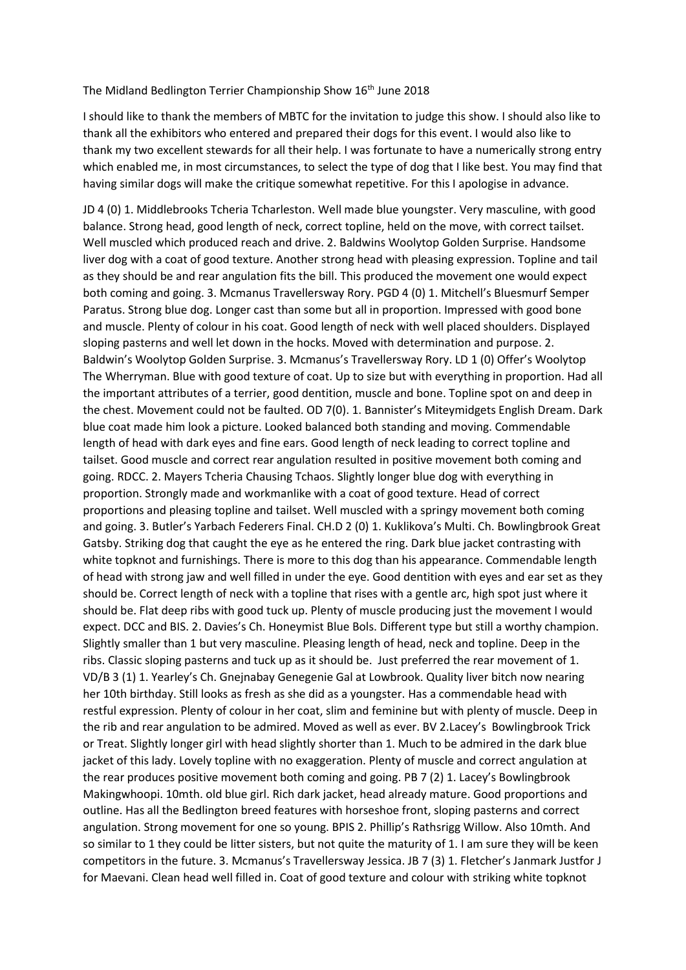## The Midland Bedlington Terrier Championship Show 16<sup>th</sup> June 2018

I should like to thank the members of MBTC for the invitation to judge this show. I should also like to thank all the exhibitors who entered and prepared their dogs for this event. I would also like to thank my two excellent stewards for all their help. I was fortunate to have a numerically strong entry which enabled me, in most circumstances, to select the type of dog that I like best. You may find that having similar dogs will make the critique somewhat repetitive. For this I apologise in advance.

JD 4 (0) 1. Middlebrooks Tcheria Tcharleston. Well made blue youngster. Very masculine, with good balance. Strong head, good length of neck, correct topline, held on the move, with correct tailset. Well muscled which produced reach and drive. 2. Baldwins Woolytop Golden Surprise. Handsome liver dog with a coat of good texture. Another strong head with pleasing expression. Topline and tail as they should be and rear angulation fits the bill. This produced the movement one would expect both coming and going. 3. Mcmanus Travellersway Rory. PGD 4 (0) 1. Mitchell's Bluesmurf Semper Paratus. Strong blue dog. Longer cast than some but all in proportion. Impressed with good bone and muscle. Plenty of colour in his coat. Good length of neck with well placed shoulders. Displayed sloping pasterns and well let down in the hocks. Moved with determination and purpose. 2. Baldwin's Woolytop Golden Surprise. 3. Mcmanus's Travellersway Rory. LD 1 (0) Offer's Woolytop The Wherryman. Blue with good texture of coat. Up to size but with everything in proportion. Had all the important attributes of a terrier, good dentition, muscle and bone. Topline spot on and deep in the chest. Movement could not be faulted. OD 7(0). 1. Bannister's Miteymidgets English Dream. Dark blue coat made him look a picture. Looked balanced both standing and moving. Commendable length of head with dark eyes and fine ears. Good length of neck leading to correct topline and tailset. Good muscle and correct rear angulation resulted in positive movement both coming and going. RDCC. 2. Mayers Tcheria Chausing Tchaos. Slightly longer blue dog with everything in proportion. Strongly made and workmanlike with a coat of good texture. Head of correct proportions and pleasing topline and tailset. Well muscled with a springy movement both coming and going. 3. Butler's Yarbach Federers Final. CH.D 2 (0) 1. Kuklikova's Multi. Ch. Bowlingbrook Great Gatsby. Striking dog that caught the eye as he entered the ring. Dark blue jacket contrasting with white topknot and furnishings. There is more to this dog than his appearance. Commendable length of head with strong jaw and well filled in under the eye. Good dentition with eyes and ear set as they should be. Correct length of neck with a topline that rises with a gentle arc, high spot just where it should be. Flat deep ribs with good tuck up. Plenty of muscle producing just the movement I would expect. DCC and BIS. 2. Davies's Ch. Honeymist Blue Bols. Different type but still a worthy champion. Slightly smaller than 1 but very masculine. Pleasing length of head, neck and topline. Deep in the ribs. Classic sloping pasterns and tuck up as it should be. Just preferred the rear movement of 1. VD/B 3 (1) 1. Yearley's Ch. Gnejnabay Genegenie Gal at Lowbrook. Quality liver bitch now nearing her 10th birthday. Still looks as fresh as she did as a youngster. Has a commendable head with restful expression. Plenty of colour in her coat, slim and feminine but with plenty of muscle. Deep in the rib and rear angulation to be admired. Moved as well as ever. BV 2.Lacey's Bowlingbrook Trick or Treat. Slightly longer girl with head slightly shorter than 1. Much to be admired in the dark blue jacket of this lady. Lovely topline with no exaggeration. Plenty of muscle and correct angulation at the rear produces positive movement both coming and going. PB 7 (2) 1. Lacey's Bowlingbrook Makingwhoopi. 10mth. old blue girl. Rich dark jacket, head already mature. Good proportions and outline. Has all the Bedlington breed features with horseshoe front, sloping pasterns and correct angulation. Strong movement for one so young. BPIS 2. Phillip's Rathsrigg Willow. Also 10mth. And so similar to 1 they could be litter sisters, but not quite the maturity of 1. I am sure they will be keen competitors in the future. 3. Mcmanus's Travellersway Jessica. JB 7 (3) 1. Fletcher's Janmark Justfor J for Maevani. Clean head well filled in. Coat of good texture and colour with striking white topknot